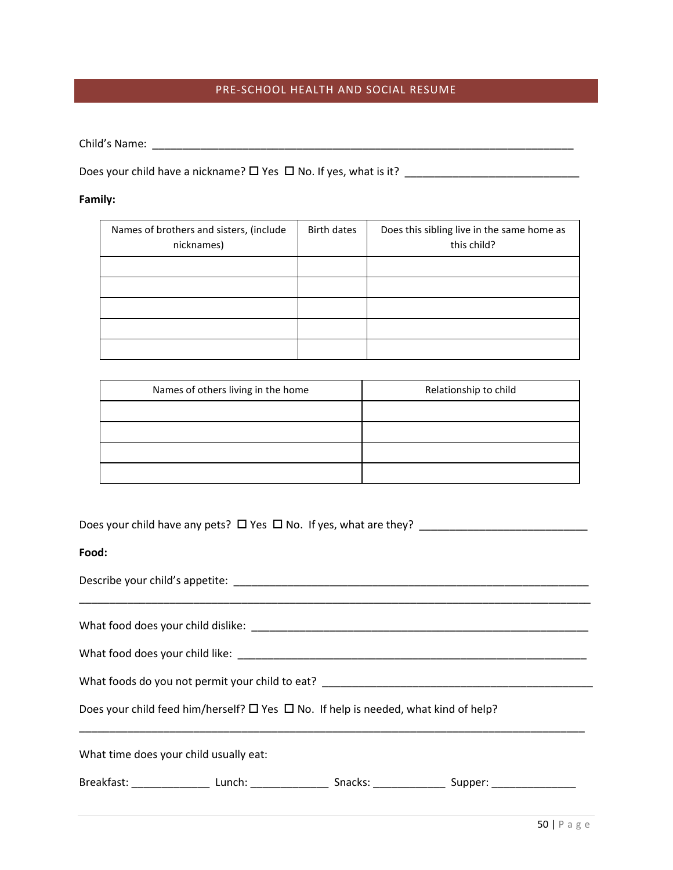## PRE-SCHOOL HEALTH AND SOCIAL RESUME

Child's Name: \_\_\_\_\_\_\_\_\_\_\_\_\_\_\_\_\_\_\_\_\_\_\_\_\_\_\_\_\_\_\_\_\_\_\_\_\_\_\_\_\_\_\_\_\_\_\_\_\_\_\_\_\_\_\_\_\_\_\_\_\_\_\_\_\_\_\_\_\_\_

Does your child have a nickname? Yes No. If yes, what is it? \_\_\_\_\_\_\_\_\_\_\_\_\_\_\_\_\_\_\_\_\_\_\_\_\_\_\_\_\_

## **Family:**

| Names of brothers and sisters, (include<br>nicknames) | Birth dates | Does this sibling live in the same home as<br>this child? |
|-------------------------------------------------------|-------------|-----------------------------------------------------------|
|                                                       |             |                                                           |
|                                                       |             |                                                           |
|                                                       |             |                                                           |
|                                                       |             |                                                           |
|                                                       |             |                                                           |

| Names of others living in the home | Relationship to child |
|------------------------------------|-----------------------|
|                                    |                       |
|                                    |                       |
|                                    |                       |
|                                    |                       |

|  |  |  |  | Does your child have any pets? $\Box$ Yes $\Box$ No. If yes, what are they? |  |
|--|--|--|--|-----------------------------------------------------------------------------|--|
|--|--|--|--|-----------------------------------------------------------------------------|--|

## **Food:**

| What foods do you not permit your child to eat? _________________________________                   |  |  |
|-----------------------------------------------------------------------------------------------------|--|--|
| Does your child feed him/herself? $\square$ Yes $\square$ No. If help is needed, what kind of help? |  |  |
| What time does your child usually eat:                                                              |  |  |
|                                                                                                     |  |  |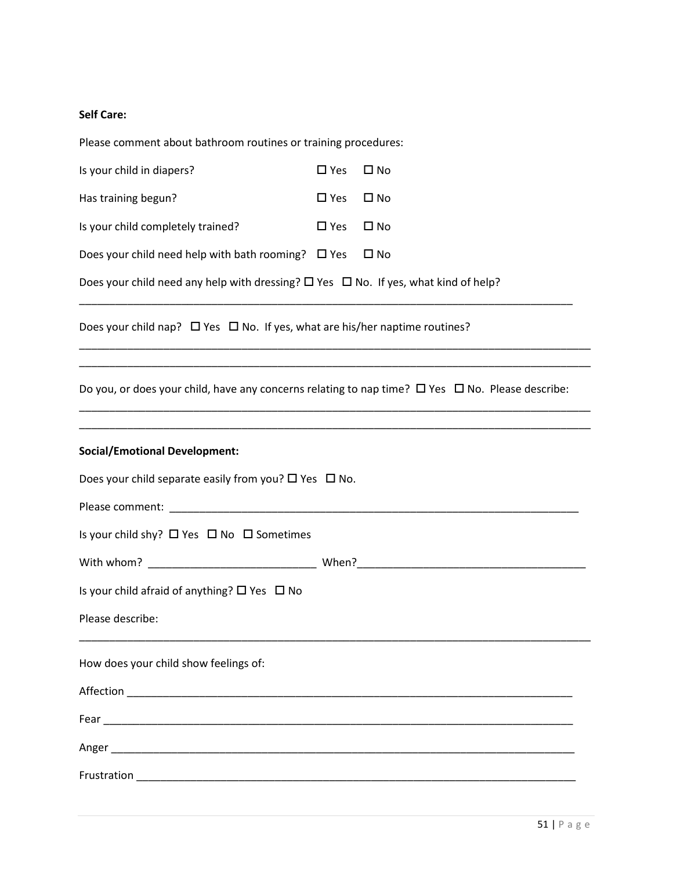## **Self Care:**

| Please comment about bathroom routines or training procedures:                                                                                                            |               |              |
|---------------------------------------------------------------------------------------------------------------------------------------------------------------------------|---------------|--------------|
| Is your child in diapers?                                                                                                                                                 | $\square$ Yes | $\square$ No |
| Has training begun?                                                                                                                                                       | $\square$ Yes | $\square$ No |
| Is your child completely trained?                                                                                                                                         | $\square$ Yes | $\square$ No |
| Does your child need help with bath rooming? $\Box$ Yes                                                                                                                   |               | $\square$ No |
| Does your child need any help with dressing? $\square$ Yes $\square$ No. If yes, what kind of help?                                                                       |               |              |
| Does your child nap? $\Box$ Yes $\Box$ No. If yes, what are his/her naptime routines?                                                                                     |               |              |
| <u> 1989 - Johann Stoff, amerikansk politiker (d. 1989)</u><br>Do you, or does your child, have any concerns relating to nap time? $\Box$ Yes $\Box$ No. Please describe: |               |              |
| <b>Social/Emotional Development:</b>                                                                                                                                      |               |              |
| Does your child separate easily from you? $\Box$ Yes $\Box$ No.                                                                                                           |               |              |
|                                                                                                                                                                           |               |              |
| Is your child shy? $\Box$ Yes $\Box$ No $\Box$ Sometimes                                                                                                                  |               |              |
|                                                                                                                                                                           |               |              |
| Is your child afraid of anything? $\Box$ Yes $\Box$ No                                                                                                                    |               |              |
| Please describe:                                                                                                                                                          |               |              |
| How does your child show feelings of:                                                                                                                                     |               |              |
|                                                                                                                                                                           |               |              |
|                                                                                                                                                                           |               |              |
|                                                                                                                                                                           |               |              |
|                                                                                                                                                                           |               |              |